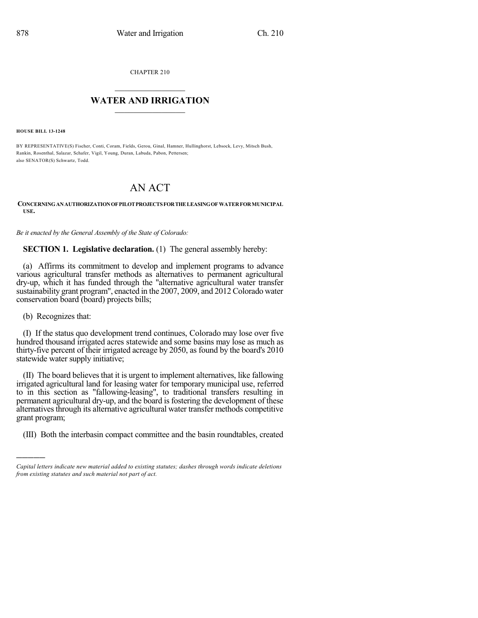CHAPTER 210

## $\mathcal{L}_\text{max}$  . The set of the set of the set of the set of the set of the set of the set of the set of the set of the set of the set of the set of the set of the set of the set of the set of the set of the set of the set **WATER AND IRRIGATION**  $\_$   $\_$

**HOUSE BILL 13-1248**

BY REPRESENTATIVE(S) Fischer, Conti, Coram, Fields, Gerou, Ginal, Hamner, Hullinghorst, Lebsock, Levy, Mitsch Bush, Rankin, Rosenthal, Salazar, Schafer, Vigil, Young, Duran, Labuda, Pabon, Pettersen; also SENATOR(S) Schwartz, Todd.

## AN ACT

**CONCERNINGANAUTHORIZATIONOFPILOTPROJECTSFORTHELEASINGOF WATERFORMUNICIPAL USE.**

*Be it enacted by the General Assembly of the State of Colorado:*

**SECTION 1. Legislative declaration.** (1) The general assembly hereby:

(a) Affirms its commitment to develop and implement programs to advance various agricultural transfer methods as alternatives to permanent agricultural dry-up, which it has funded through the "alternative agricultural water transfer sustainability grant program", enacted in the 2007, 2009, and 2012 Colorado water conservation board (board) projects bills;

(b) Recognizes that:

)))))

(I) If the status quo development trend continues, Colorado may lose over five hundred thousand irrigated acres statewide and some basins may lose as much as thirty-five percent of their irrigated acreage by 2050, as found by the board's 2010 statewide water supply initiative;

(II) The board believesthat it is urgent to implement alternatives, like fallowing irrigated agricultural land for leasing water for temporary municipal use, referred to in this section as "fallowing-leasing", to traditional transfers resulting in permanent agricultural dry-up, and the board isfostering the development of these alternatives through its alternative agricultural water transfer methods competitive grant program;

(III) Both the interbasin compact committee and the basin roundtables, created

*Capital letters indicate new material added to existing statutes; dashes through words indicate deletions from existing statutes and such material not part of act.*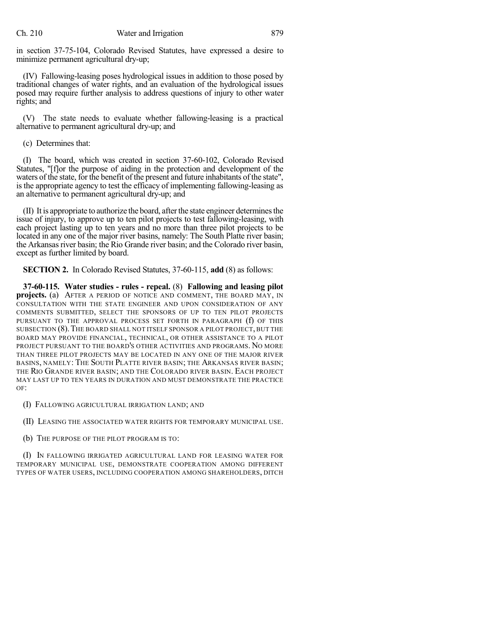in section 37-75-104, Colorado Revised Statutes, have expressed a desire to minimize permanent agricultural dry-up;

(IV) Fallowing-leasing poses hydrological issues in addition to those posed by traditional changes of water rights, and an evaluation of the hydrological issues posed may require further analysis to address questions of injury to other water rights; and

(V) The state needs to evaluate whether fallowing-leasing is a practical alternative to permanent agricultural dry-up; and

(c) Determines that:

(I) The board, which was created in section 37-60-102, Colorado Revised Statutes, "[f]or the purpose of aiding in the protection and development of the waters of the state, for the benefit of the present and future inhabitants of the state", is the appropriate agency to test the efficacy of implementing fallowing-leasing as an alternative to permanent agricultural dry-up; and

 $(II)$  It is appropriate to authorize the board, after the state engineer determines the issue of injury, to approve up to ten pilot projects to test fallowing-leasing, with each project lasting up to ten years and no more than three pilot projects to be located in any one of the major river basins, namely: The South Platte river basin; the Arkansas river basin; the Rio Grande river basin; and the Colorado river basin, except as further limited by board.

**SECTION 2.** In Colorado Revised Statutes, 37-60-115, **add** (8) as follows:

**37-60-115. Water studies - rules - repeal.** (8) **Fallowing and leasing pilot projects.** (a) AFTER A PERIOD OF NOTICE AND COMMENT, THE BOARD MAY, IN CONSULTATION WITH THE STATE ENGINEER AND UPON CONSIDERATION OF ANY COMMENTS SUBMITTED, SELECT THE SPONSORS OF UP TO TEN PILOT PROJECTS PURSUANT TO THE APPROVAL PROCESS SET FORTH IN PARAGRAPH (f) OF THIS SUBSECTION (8).THE BOARD SHALL NOT ITSELF SPONSOR A PILOT PROJECT, BUT THE BOARD MAY PROVIDE FINANCIAL, TECHNICAL, OR OTHER ASSISTANCE TO A PILOT PROJECT PURSUANT TO THE BOARD'S OTHER ACTIVITIES AND PROGRAMS. NO MORE THAN THREE PILOT PROJECTS MAY BE LOCATED IN ANY ONE OF THE MAJOR RIVER BASINS, NAMELY: THE SOUTH PLATTE RIVER BASIN; THE ARKANSAS RIVER BASIN; THE RIO GRANDE RIVER BASIN; AND THE COLORADO RIVER BASIN. EACH PROJECT MAY LAST UP TO TEN YEARS IN DURATION AND MUST DEMONSTRATE THE PRACTICE OF:

(I) FALLOWING AGRICULTURAL IRRIGATION LAND; AND

(II) LEASING THE ASSOCIATED WATER RIGHTS FOR TEMPORARY MUNICIPAL USE.

(b) THE PURPOSE OF THE PILOT PROGRAM IS TO:

(I) IN FALLOWING IRRIGATED AGRICULTURAL LAND FOR LEASING WATER FOR TEMPORARY MUNICIPAL USE, DEMONSTRATE COOPERATION AMONG DIFFERENT TYPES OF WATER USERS, INCLUDING COOPERATION AMONG SHAREHOLDERS, DITCH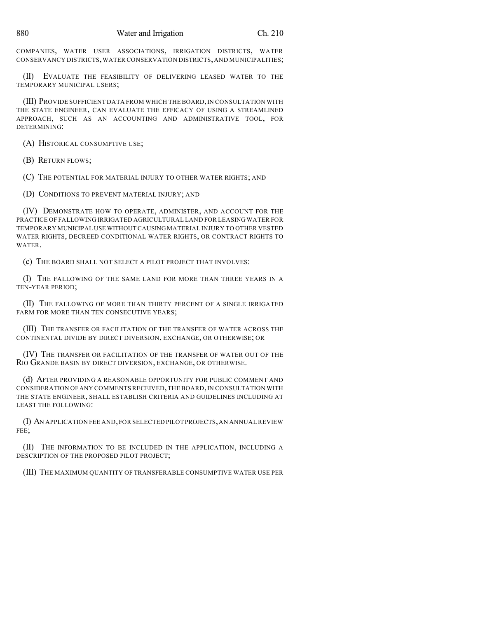COMPANIES, WATER USER ASSOCIATIONS, IRRIGATION DISTRICTS, WATER CONSERVANCY DISTRICTS,WATER CONSERVATION DISTRICTS,AND MUNICIPALITIES;

(II) EVALUATE THE FEASIBILITY OF DELIVERING LEASED WATER TO THE TEMPORARY MUNICIPAL USERS;

(III) PROVIDE SUFFICIENT DATA FROM WHICH THE BOARD, IN CONSULTATION WITH THE STATE ENGINEER, CAN EVALUATE THE EFFICACY OF USING A STREAMLINED APPROACH, SUCH AS AN ACCOUNTING AND ADMINISTRATIVE TOOL, FOR DETERMINING:

(A) HISTORICAL CONSUMPTIVE USE;

(B) RETURN FLOWS;

(C) THE POTENTIAL FOR MATERIAL INJURY TO OTHER WATER RIGHTS; AND

(D) CONDITIONS TO PREVENT MATERIAL INJURY; AND

(IV) DEMONSTRATE HOW TO OPERATE, ADMINISTER, AND ACCOUNT FOR THE PRACTICE OF FALLOWING IRRIGATED AGRICULTURAL LAND FOR LEASING WATER FOR TEMPORARY MUNICIPAL USE WITHOUT CAUSING MATERIAL INJURY TO OTHER VESTED WATER RIGHTS, DECREED CONDITIONAL WATER RIGHTS, OR CONTRACT RIGHTS TO WATER.

(c) THE BOARD SHALL NOT SELECT A PILOT PROJECT THAT INVOLVES:

(I) THE FALLOWING OF THE SAME LAND FOR MORE THAN THREE YEARS IN A TEN-YEAR PERIOD;

(II) THE FALLOWING OF MORE THAN THIRTY PERCENT OF A SINGLE IRRIGATED FARM FOR MORE THAN TEN CONSECUTIVE YEARS;

(III) THE TRANSFER OR FACILITATION OF THE TRANSFER OF WATER ACROSS THE CONTINENTAL DIVIDE BY DIRECT DIVERSION, EXCHANGE, OR OTHERWISE; OR

(IV) THE TRANSFER OR FACILITATION OF THE TRANSFER OF WATER OUT OF THE RIO GRANDE BASIN BY DIRECT DIVERSION, EXCHANGE, OR OTHERWISE.

(d) AFTER PROVIDING A REASONABLE OPPORTUNITY FOR PUBLIC COMMENT AND CONSIDERATION OFANY COMMENTS RECEIVED,THE BOARD,IN CONSULTATION WITH THE STATE ENGINEER, SHALL ESTABLISH CRITERIA AND GUIDELINES INCLUDING AT LEAST THE FOLLOWING:

(I) AN APPLICATION FEE AND,FOR SELECTED PILOT PROJECTS,AN ANNUAL REVIEW FEE;

(II) THE INFORMATION TO BE INCLUDED IN THE APPLICATION, INCLUDING A DESCRIPTION OF THE PROPOSED PILOT PROJECT;

(III) THE MAXIMUM QUANTITY OF TRANSFERABLE CONSUMPTIVE WATER USE PER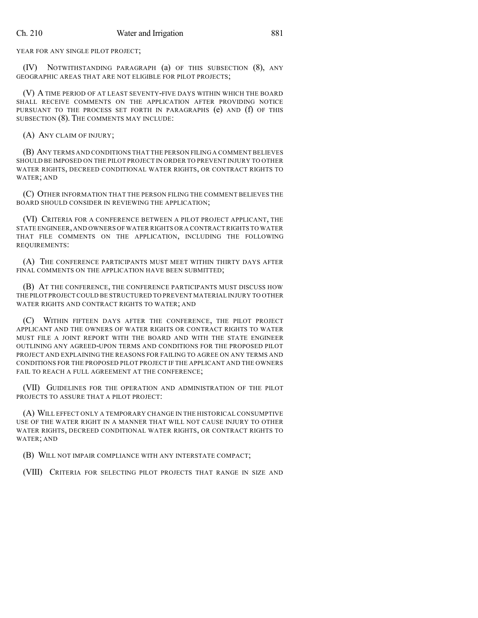YEAR FOR ANY SINGLE PILOT PROJECT;

(IV) NOTWITHSTANDING PARAGRAPH (a) OF THIS SUBSECTION (8), ANY GEOGRAPHIC AREAS THAT ARE NOT ELIGIBLE FOR PILOT PROJECTS;

(V) A TIME PERIOD OF AT LEAST SEVENTY-FIVE DAYS WITHIN WHICH THE BOARD SHALL RECEIVE COMMENTS ON THE APPLICATION AFTER PROVIDING NOTICE PURSUANT TO THE PROCESS SET FORTH IN PARAGRAPHS (e) AND (f) OF THIS SUBSECTION (8). THE COMMENTS MAY INCLUDE:

(A) ANY CLAIM OF INJURY;

(B) ANY TERMS AND CONDITIONS THAT THE PERSON FILING A COMMENT BELIEVES SHOULD BE IMPOSED ON THE PILOT PROJECT IN ORDER TO PREVENT INJURY TO OTHER WATER RIGHTS, DECREED CONDITIONAL WATER RIGHTS, OR CONTRACT RIGHTS TO WATER; AND

(C) OTHER INFORMATION THAT THE PERSON FILING THE COMMENT BELIEVES THE BOARD SHOULD CONSIDER IN REVIEWING THE APPLICATION;

(VI) CRITERIA FOR A CONFERENCE BETWEEN A PILOT PROJECT APPLICANT, THE STATE ENGINEER,AND OWNERS OF WATER RIGHTS OR A CONTRACTRIGHTS TO WATER THAT FILE COMMENTS ON THE APPLICATION, INCLUDING THE FOLLOWING REQUIREMENTS:

(A) THE CONFERENCE PARTICIPANTS MUST MEET WITHIN THIRTY DAYS AFTER FINAL COMMENTS ON THE APPLICATION HAVE BEEN SUBMITTED;

(B) AT THE CONFERENCE, THE CONFERENCE PARTICIPANTS MUST DISCUSS HOW THE PILOT PROJECT COULD BE STRUCTURED TO PREVENT MATERIAL INJURY TO OTHER WATER RIGHTS AND CONTRACT RIGHTS TO WATER; AND

(C) WITHIN FIFTEEN DAYS AFTER THE CONFERENCE, THE PILOT PROJECT APPLICANT AND THE OWNERS OF WATER RIGHTS OR CONTRACT RIGHTS TO WATER MUST FILE A JOINT REPORT WITH THE BOARD AND WITH THE STATE ENGINEER OUTLINING ANY AGREED-UPON TERMS AND CONDITIONS FOR THE PROPOSED PILOT PROJECT AND EXPLAINING THE REASONS FOR FAILING TO AGREE ON ANY TERMS AND CONDITIONS FOR THE PROPOSED PILOT PROJECT IF THE APPLICANT AND THE OWNERS FAIL TO REACH A FULL AGREEMENT AT THE CONFERENCE;

(VII) GUIDELINES FOR THE OPERATION AND ADMINISTRATION OF THE PILOT PROJECTS TO ASSURE THAT A PILOT PROJECT:

(A) WILL EFFECT ONLY A TEMPORARY CHANGE IN THE HISTORICAL CONSUMPTIVE USE OF THE WATER RIGHT IN A MANNER THAT WILL NOT CAUSE INJURY TO OTHER WATER RIGHTS, DECREED CONDITIONAL WATER RIGHTS, OR CONTRACT RIGHTS TO WATER; AND

(B) WILL NOT IMPAIR COMPLIANCE WITH ANY INTERSTATE COMPACT;

(VIII) CRITERIA FOR SELECTING PILOT PROJECTS THAT RANGE IN SIZE AND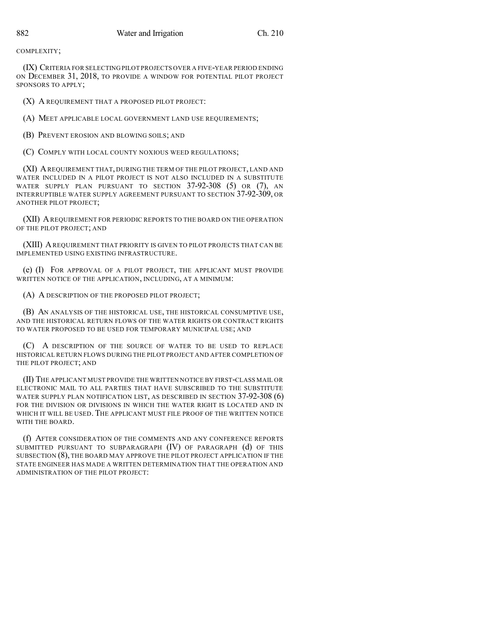COMPLEXITY;

(IX) CRITERIA FOR SELECTING PILOT PROJECTS OVER A FIVE-YEAR PERIOD ENDING ON DECEMBER 31, 2018, TO PROVIDE A WINDOW FOR POTENTIAL PILOT PROJECT SPONSORS TO APPLY;

(X) A REQUIREMENT THAT A PROPOSED PILOT PROJECT:

(A) MEET APPLICABLE LOCAL GOVERNMENT LAND USE REQUIREMENTS;

(B) PREVENT EROSION AND BLOWING SOILS; AND

(C) COMPLY WITH LOCAL COUNTY NOXIOUS WEED REGULATIONS;

(XI) AREQUIREMENT THAT, DURING THE TERM OF THE PILOT PROJECT, LAND AND WATER INCLUDED IN A PILOT PROJECT IS NOT ALSO INCLUDED IN A SUBSTITUTE WATER SUPPLY PLAN PURSUANT TO SECTION 37-92-308 (5) OR (7), AN INTERRUPTIBLE WATER SUPPLY AGREEMENT PURSUANT TO SECTION 37-92-309, OR ANOTHER PILOT PROJECT;

(XII) AREQUIREMENT FOR PERIODIC REPORTS TO THE BOARD ON THE OPERATION OF THE PILOT PROJECT; AND

(XIII) AREQUIREMENT THAT PRIORITY IS GIVEN TO PILOT PROJECTS THAT CAN BE IMPLEMENTED USING EXISTING INFRASTRUCTURE.

(e) (I) FOR APPROVAL OF A PILOT PROJECT, THE APPLICANT MUST PROVIDE WRITTEN NOTICE OF THE APPLICATION, INCLUDING, AT A MINIMUM:

(A) A DESCRIPTION OF THE PROPOSED PILOT PROJECT;

(B) AN ANALYSIS OF THE HISTORICAL USE, THE HISTORICAL CONSUMPTIVE USE, AND THE HISTORICAL RETURN FLOWS OF THE WATER RIGHTS OR CONTRACT RIGHTS TO WATER PROPOSED TO BE USED FOR TEMPORARY MUNICIPAL USE; AND

(C) A DESCRIPTION OF THE SOURCE OF WATER TO BE USED TO REPLACE HISTORICAL RETURN FLOWS DURING THE PILOT PROJECT AND AFTER COMPLETION OF THE PILOT PROJECT; AND

(II) THE APPLICANT MUST PROVIDE THE WRITTEN NOTICE BY FIRST-CLASS MAIL OR ELECTRONIC MAIL TO ALL PARTIES THAT HAVE SUBSCRIBED TO THE SUBSTITUTE WATER SUPPLY PLAN NOTIFICATION LIST, AS DESCRIBED IN SECTION 37-92-308 (6) FOR THE DIVISION OR DIVISIONS IN WHICH THE WATER RIGHT IS LOCATED AND IN WHICH IT WILL BE USED. THE APPLICANT MUST FILE PROOF OF THE WRITTEN NOTICE WITH THE BOARD.

(f) AFTER CONSIDERATION OF THE COMMENTS AND ANY CONFERENCE REPORTS SUBMITTED PURSUANT TO SUBPARAGRAPH (IV) OF PARAGRAPH (d) OF THIS SUBSECTION (8), THE BOARD MAY APPROVE THE PILOT PROJECT APPLICATION IF THE STATE ENGINEER HAS MADE A WRITTEN DETERMINATION THAT THE OPERATION AND ADMINISTRATION OF THE PILOT PROJECT: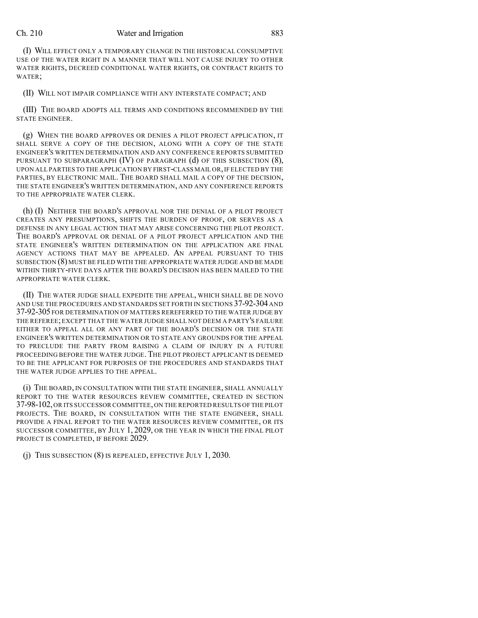## Ch. 210 Water and Irrigation 883

(I) WILL EFFECT ONLY A TEMPORARY CHANGE IN THE HISTORICAL CONSUMPTIVE USE OF THE WATER RIGHT IN A MANNER THAT WILL NOT CAUSE INJURY TO OTHER WATER RIGHTS, DECREED CONDITIONAL WATER RIGHTS, OR CONTRACT RIGHTS TO WATER;

(II) WILL NOT IMPAIR COMPLIANCE WITH ANY INTERSTATE COMPACT; AND

(III) THE BOARD ADOPTS ALL TERMS AND CONDITIONS RECOMMENDED BY THE STATE ENGINEER.

(g) WHEN THE BOARD APPROVES OR DENIES A PILOT PROJECT APPLICATION, IT SHALL SERVE A COPY OF THE DECISION, ALONG WITH A COPY OF THE STATE ENGINEER'S WRITTEN DETERMINATION AND ANY CONFERENCE REPORTS SUBMITTED PURSUANT TO SUBPARAGRAPH  $(IV)$  OF PARAGRAPH  $(d)$  OF THIS SUBSECTION  $(8)$ , UPON ALL PARTIES TO THE APPLICATION BY FIRST-CLASS MAIL OR,IF ELECTED BY THE PARTIES, BY ELECTRONIC MAIL. THE BOARD SHALL MAIL A COPY OF THE DECISION, THE STATE ENGINEER'S WRITTEN DETERMINATION, AND ANY CONFERENCE REPORTS TO THE APPROPRIATE WATER CLERK.

(h) (I) NEITHER THE BOARD'S APPROVAL NOR THE DENIAL OF A PILOT PROJECT CREATES ANY PRESUMPTIONS, SHIFTS THE BURDEN OF PROOF, OR SERVES AS A DEFENSE IN ANY LEGAL ACTION THAT MAY ARISE CONCERNING THE PILOT PROJECT. THE BOARD'S APPROVAL OR DENIAL OF A PILOT PROJECT APPLICATION AND THE STATE ENGINEER'S WRITTEN DETERMINATION ON THE APPLICATION ARE FINAL AGENCY ACTIONS THAT MAY BE APPEALED. AN APPEAL PURSUANT TO THIS SUBSECTION (8) MUST BE FILED WITH THE APPROPRIATE WATER JUDGE AND BE MADE WITHIN THIRTY-FIVE DAYS AFTER THE BOARD'S DECISION HAS BEEN MAILED TO THE APPROPRIATE WATER CLERK.

(II) THE WATER JUDGE SHALL EXPEDITE THE APPEAL, WHICH SHALL BE DE NOVO AND USE THE PROCEDURES AND STANDARDS SET FORTH IN SECTIONS 37-92-304 AND 37-92-305 FOR DETERMINATION OF MATTERS REREFERRED TO THE WATER JUDGE BY THE REFEREE;EXCEPT THAT THE WATER JUDGE SHALL NOT DEEM A PARTY'S FAILURE EITHER TO APPEAL ALL OR ANY PART OF THE BOARD'S DECISION OR THE STATE ENGINEER'S WRITTEN DETERMINATION OR TO STATE ANY GROUNDS FOR THE APPEAL TO PRECLUDE THE PARTY FROM RAISING A CLAIM OF INJURY IN A FUTURE PROCEEDING BEFORE THE WATER JUDGE. THE PILOT PROJECT APPLICANT IS DEEMED TO BE THE APPLICANT FOR PURPOSES OF THE PROCEDURES AND STANDARDS THAT THE WATER JUDGE APPLIES TO THE APPEAL.

(i) THE BOARD, IN CONSULTATION WITH THE STATE ENGINEER, SHALL ANNUALLY REPORT TO THE WATER RESOURCES REVIEW COMMITTEE, CREATED IN SECTION 37-98-102,OR ITS SUCCESSOR COMMITTEE,ON THE REPORTED RESULTS OF THE PILOT PROJECTS. THE BOARD, IN CONSULTATION WITH THE STATE ENGINEER, SHALL PROVIDE A FINAL REPORT TO THE WATER RESOURCES REVIEW COMMITTEE, OR ITS SUCCESSOR COMMITTEE, BY JULY 1, 2029, OR THE YEAR IN WHICH THE FINAL PILOT PROJECT IS COMPLETED, IF BEFORE 2029.

(j) THIS SUBSECTION (8) IS REPEALED, EFFECTIVE JULY 1, 2030.